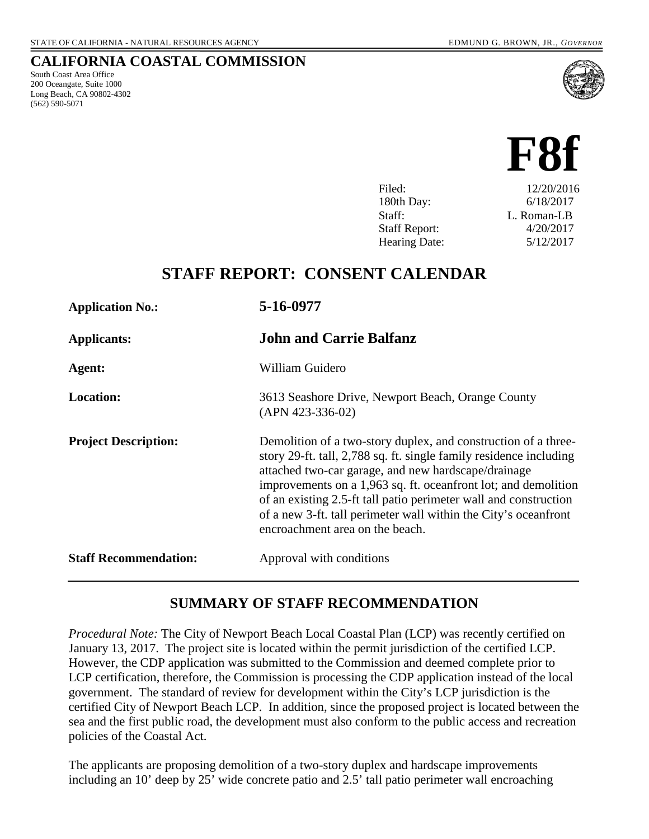South Coast Area Office 200 Oceangate, Suite 1000 Long Beach, CA 90802-4302

(562) 590-5071

**CALIFORNIA COASTAL COMMISSION**

# **F8f**

| Filed:               | 12/20/2016  |
|----------------------|-------------|
| 180th Day:           | 6/18/2017   |
| Staff:               | L. Roman-LB |
| <b>Staff Report:</b> | 4/20/2017   |
| <b>Hearing Date:</b> | 5/12/2017   |
|                      |             |

# **STAFF REPORT: CONSENT CALENDAR**

| <b>Application No.:</b>      | 5-16-0977                                                                                                                                                                                                                                                                                                                                                                                                                               |
|------------------------------|-----------------------------------------------------------------------------------------------------------------------------------------------------------------------------------------------------------------------------------------------------------------------------------------------------------------------------------------------------------------------------------------------------------------------------------------|
| <b>Applicants:</b>           | <b>John and Carrie Balfanz</b>                                                                                                                                                                                                                                                                                                                                                                                                          |
| Agent:                       | William Guidero                                                                                                                                                                                                                                                                                                                                                                                                                         |
| <b>Location:</b>             | 3613 Seashore Drive, Newport Beach, Orange County<br>$(APN 423-336-02)$                                                                                                                                                                                                                                                                                                                                                                 |
| <b>Project Description:</b>  | Demolition of a two-story duplex, and construction of a three-<br>story 29-ft. tall, 2,788 sq. ft. single family residence including<br>attached two-car garage, and new hardscape/drainage<br>improvements on a 1,963 sq. ft. oceanfront lot; and demolition<br>of an existing 2.5-ft tall patio perimeter wall and construction<br>of a new 3-ft. tall perimeter wall within the City's oceanfront<br>encroachment area on the beach. |
| <b>Staff Recommendation:</b> | Approval with conditions                                                                                                                                                                                                                                                                                                                                                                                                                |

### **SUMMARY OF STAFF RECOMMENDATION**

*Procedural Note:* The City of Newport Beach Local Coastal Plan (LCP) was recently certified on January 13, 2017. The project site is located within the permit jurisdiction of the certified LCP. However, the CDP application was submitted to the Commission and deemed complete prior to LCP certification, therefore, the Commission is processing the CDP application instead of the local government. The standard of review for development within the City's LCP jurisdiction is the certified City of Newport Beach LCP. In addition, since the proposed project is located between the sea and the first public road, the development must also conform to the public access and recreation policies of the Coastal Act.

The applicants are proposing demolition of a two-story duplex and hardscape improvements including an 10' deep by 25' wide concrete patio and 2.5' tall patio perimeter wall encroaching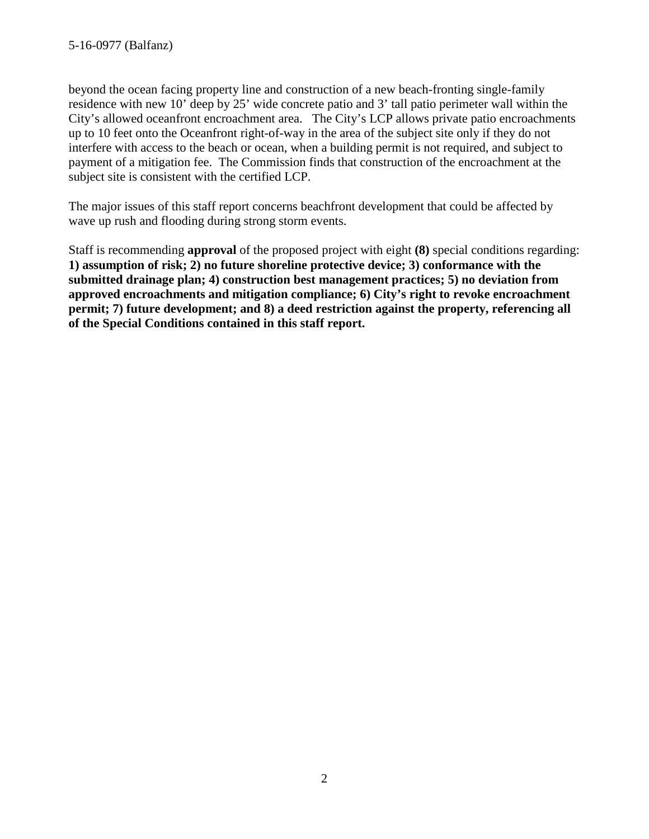beyond the ocean facing property line and construction of a new beach-fronting single-family residence with new 10' deep by 25' wide concrete patio and 3' tall patio perimeter wall within the City's allowed oceanfront encroachment area. The City's LCP allows private patio encroachments up to 10 feet onto the Oceanfront right-of-way in the area of the subject site only if they do not interfere with access to the beach or ocean, when a building permit is not required, and subject to payment of a mitigation fee. The Commission finds that construction of the encroachment at the subject site is consistent with the certified LCP.

The major issues of this staff report concerns beachfront development that could be affected by wave up rush and flooding during strong storm events.

Staff is recommending **approval** of the proposed project with eight **(8)** special conditions regarding: **1) assumption of risk; 2) no future shoreline protective device; 3) conformance with the submitted drainage plan; 4) construction best management practices; 5) no deviation from approved encroachments and mitigation compliance; 6) City's right to revoke encroachment permit; 7) future development; and 8) a deed restriction against the property, referencing all of the Special Conditions contained in this staff report.**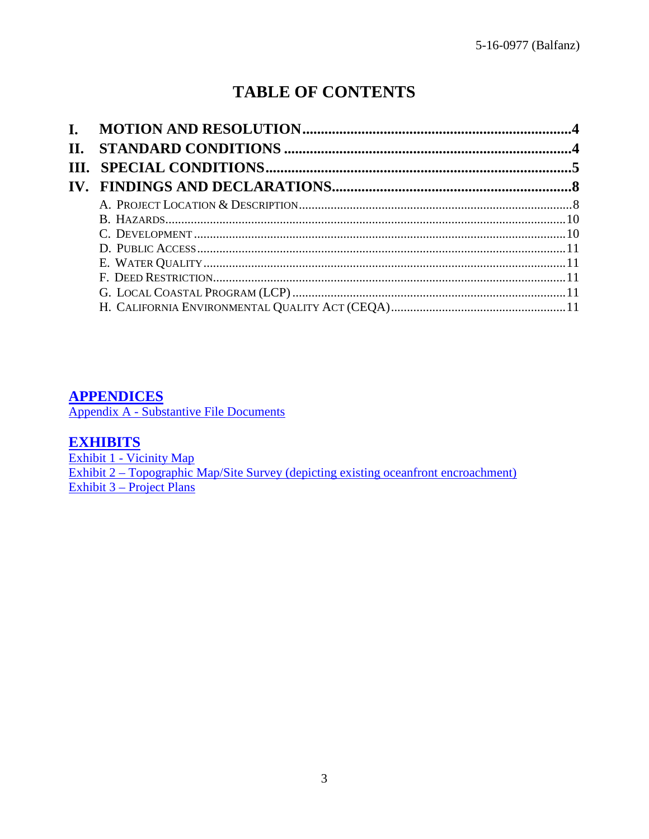# **TABLE OF CONTENTS**

| $\mathbf{I}$ . |  |
|----------------|--|
| <b>II.</b>     |  |
|                |  |
|                |  |
|                |  |
|                |  |
|                |  |
|                |  |
|                |  |
|                |  |
|                |  |
|                |  |

### **APPENDICES**

Appendix A - Substantive File Documents

### **EXHIBITS**

Exhibit 1 - Vicinity Map

Exhibit 2 – Topographic Map/Site Survey (depicting existing oceanfront encroachment)  $Exhibit 3 - Project Plans$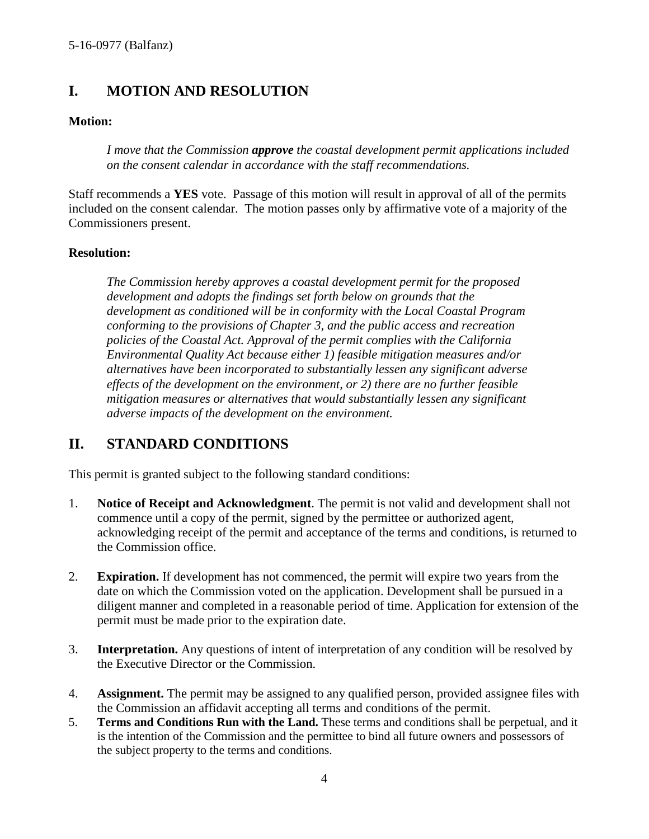# <span id="page-3-0"></span>**I. MOTION AND RESOLUTION**

#### **Motion:**

*I move that the Commission approve the coastal development permit applications included on the consent calendar in accordance with the staff recommendations.*

Staff recommends a **YES** vote. Passage of this motion will result in approval of all of the permits included on the consent calendar. The motion passes only by affirmative vote of a majority of the Commissioners present.

#### **Resolution:**

*The Commission hereby approves a coastal development permit for the proposed development and adopts the findings set forth below on grounds that the development as conditioned will be in conformity with the Local Coastal Program conforming to the provisions of Chapter 3, and the public access and recreation policies of the Coastal Act. Approval of the permit complies with the California Environmental Quality Act because either 1) feasible mitigation measures and/or alternatives have been incorporated to substantially lessen any significant adverse effects of the development on the environment, or 2) there are no further feasible mitigation measures or alternatives that would substantially lessen any significant adverse impacts of the development on the environment.* 

# <span id="page-3-1"></span>**II. STANDARD CONDITIONS**

This permit is granted subject to the following standard conditions:

- 1. **Notice of Receipt and Acknowledgment**. The permit is not valid and development shall not commence until a copy of the permit, signed by the permittee or authorized agent, acknowledging receipt of the permit and acceptance of the terms and conditions, is returned to the Commission office.
- 2. **Expiration.** If development has not commenced, the permit will expire two years from the date on which the Commission voted on the application. Development shall be pursued in a diligent manner and completed in a reasonable period of time. Application for extension of the permit must be made prior to the expiration date.
- 3. **Interpretation.** Any questions of intent of interpretation of any condition will be resolved by the Executive Director or the Commission.
- 4. **Assignment.** The permit may be assigned to any qualified person, provided assignee files with the Commission an affidavit accepting all terms and conditions of the permit.
- 5. **Terms and Conditions Run with the Land.** These terms and conditions shall be perpetual, and it is the intention of the Commission and the permittee to bind all future owners and possessors of the subject property to the terms and conditions.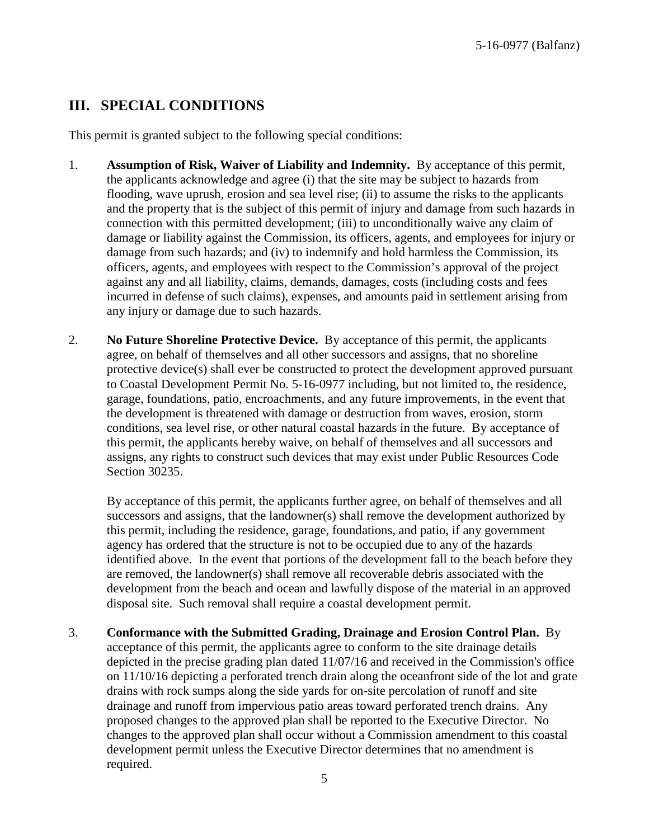# <span id="page-4-0"></span>**III. SPECIAL CONDITIONS**

This permit is granted subject to the following special conditions:

- 1. **Assumption of Risk, Waiver of Liability and Indemnity.** By acceptance of this permit, the applicants acknowledge and agree (i) that the site may be subject to hazards from flooding, wave uprush, erosion and sea level rise; (ii) to assume the risks to the applicants and the property that is the subject of this permit of injury and damage from such hazards in connection with this permitted development; (iii) to unconditionally waive any claim of damage or liability against the Commission, its officers, agents, and employees for injury or damage from such hazards; and (iv) to indemnify and hold harmless the Commission, its officers, agents, and employees with respect to the Commission's approval of the project against any and all liability, claims, demands, damages, costs (including costs and fees incurred in defense of such claims), expenses, and amounts paid in settlement arising from any injury or damage due to such hazards.
- 2. **No Future Shoreline Protective Device.** By acceptance of this permit, the applicants agree, on behalf of themselves and all other successors and assigns, that no shoreline protective device(s) shall ever be constructed to protect the development approved pursuant to Coastal Development Permit No. 5-16-0977 including, but not limited to, the residence, garage, foundations, patio, encroachments, and any future improvements, in the event that the development is threatened with damage or destruction from waves, erosion, storm conditions, sea level rise, or other natural coastal hazards in the future. By acceptance of this permit, the applicants hereby waive, on behalf of themselves and all successors and assigns, any rights to construct such devices that may exist under Public Resources Code Section 30235.

By acceptance of this permit, the applicants further agree, on behalf of themselves and all successors and assigns, that the landowner(s) shall remove the development authorized by this permit, including the residence, garage, foundations, and patio, if any government agency has ordered that the structure is not to be occupied due to any of the hazards identified above. In the event that portions of the development fall to the beach before they are removed, the landowner(s) shall remove all recoverable debris associated with the development from the beach and ocean and lawfully dispose of the material in an approved disposal site. Such removal shall require a coastal development permit.

3. **Conformance with the Submitted Grading, Drainage and Erosion Control Plan.** By acceptance of this permit, the applicants agree to conform to the site drainage details depicted in the precise grading plan dated 11/07/16 and received in the Commission's office on 11/10/16 depicting a perforated trench drain along the oceanfront side of the lot and grate drains with rock sumps along the side yards for on-site percolation of runoff and site drainage and runoff from impervious patio areas toward perforated trench drains. Any proposed changes to the approved plan shall be reported to the Executive Director. No changes to the approved plan shall occur without a Commission amendment to this coastal development permit unless the Executive Director determines that no amendment is required.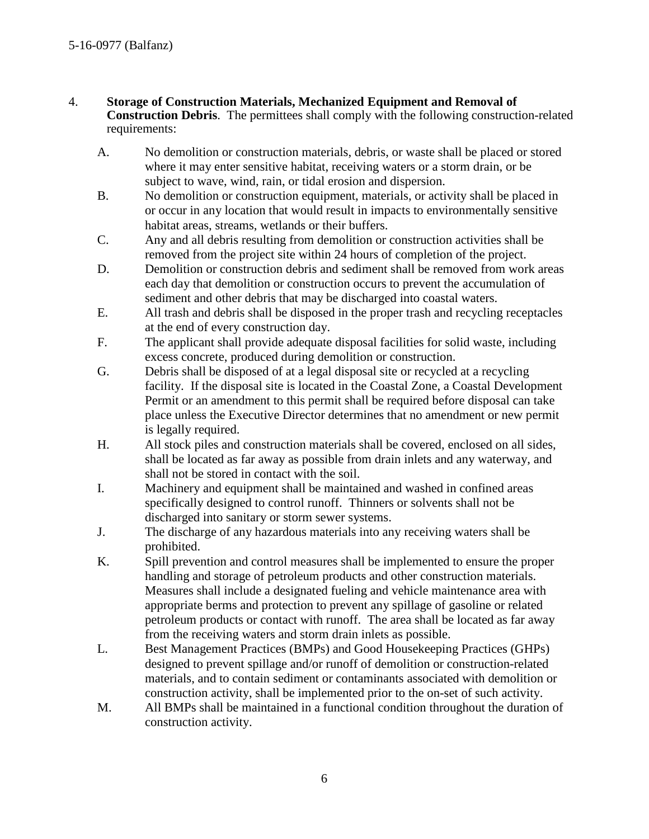#### 4. **Storage of Construction Materials, Mechanized Equipment and Removal of Construction Debris**. The permittees shall comply with the following construction-related requirements:

- A. No demolition or construction materials, debris, or waste shall be placed or stored where it may enter sensitive habitat, receiving waters or a storm drain, or be subject to wave, wind, rain, or tidal erosion and dispersion.
- B. No demolition or construction equipment, materials, or activity shall be placed in or occur in any location that would result in impacts to environmentally sensitive habitat areas, streams, wetlands or their buffers.
- C. Any and all debris resulting from demolition or construction activities shall be removed from the project site within 24 hours of completion of the project.
- D. Demolition or construction debris and sediment shall be removed from work areas each day that demolition or construction occurs to prevent the accumulation of sediment and other debris that may be discharged into coastal waters.
- E. All trash and debris shall be disposed in the proper trash and recycling receptacles at the end of every construction day.
- F. The applicant shall provide adequate disposal facilities for solid waste, including excess concrete, produced during demolition or construction.
- G. Debris shall be disposed of at a legal disposal site or recycled at a recycling facility. If the disposal site is located in the Coastal Zone, a Coastal Development Permit or an amendment to this permit shall be required before disposal can take place unless the Executive Director determines that no amendment or new permit is legally required.
- H. All stock piles and construction materials shall be covered, enclosed on all sides, shall be located as far away as possible from drain inlets and any waterway, and shall not be stored in contact with the soil.
- I. Machinery and equipment shall be maintained and washed in confined areas specifically designed to control runoff. Thinners or solvents shall not be discharged into sanitary or storm sewer systems.
- J. The discharge of any hazardous materials into any receiving waters shall be prohibited.
- K. Spill prevention and control measures shall be implemented to ensure the proper handling and storage of petroleum products and other construction materials. Measures shall include a designated fueling and vehicle maintenance area with appropriate berms and protection to prevent any spillage of gasoline or related petroleum products or contact with runoff. The area shall be located as far away from the receiving waters and storm drain inlets as possible.
- L. Best Management Practices (BMPs) and Good Housekeeping Practices (GHPs) designed to prevent spillage and/or runoff of demolition or construction-related materials, and to contain sediment or contaminants associated with demolition or construction activity, shall be implemented prior to the on-set of such activity.
- M. All BMPs shall be maintained in a functional condition throughout the duration of construction activity.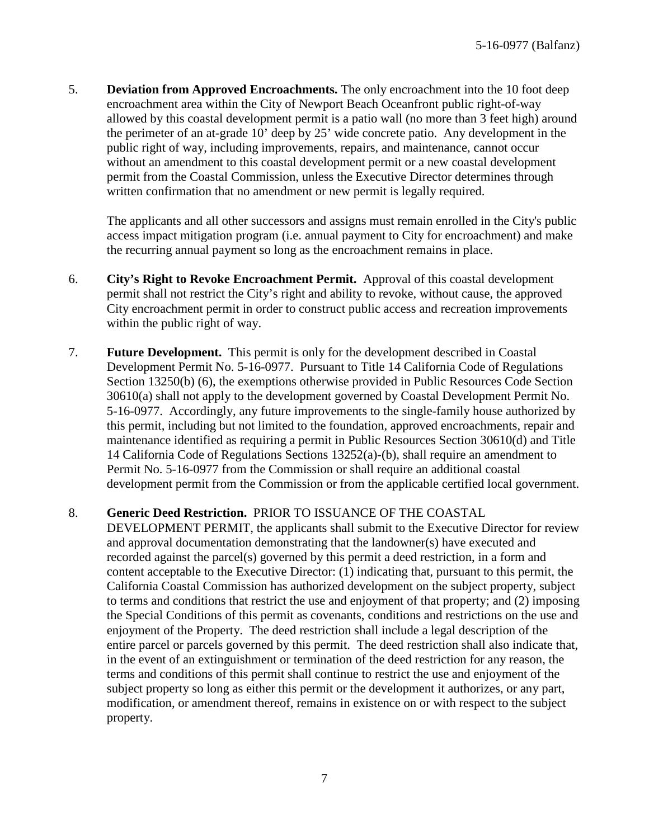5. **Deviation from Approved Encroachments.** The only encroachment into the 10 foot deep encroachment area within the City of Newport Beach Oceanfront public right-of-way allowed by this coastal development permit is a patio wall (no more than 3 feet high) around the perimeter of an at-grade 10' deep by 25' wide concrete patio. Any development in the public right of way, including improvements, repairs, and maintenance, cannot occur without an amendment to this coastal development permit or a new coastal development permit from the Coastal Commission, unless the Executive Director determines through written confirmation that no amendment or new permit is legally required.

The applicants and all other successors and assigns must remain enrolled in the City's public access impact mitigation program (i.e. annual payment to City for encroachment) and make the recurring annual payment so long as the encroachment remains in place.

- 6. **City's Right to Revoke Encroachment Permit.** Approval of this coastal development permit shall not restrict the City's right and ability to revoke, without cause, the approved City encroachment permit in order to construct public access and recreation improvements within the public right of way.
- 7. **Future Development.** This permit is only for the development described in Coastal Development Permit No. 5-16-0977. Pursuant to Title 14 California Code of Regulations Section 13250(b) (6), the exemptions otherwise provided in Public Resources Code Section 30610(a) shall not apply to the development governed by Coastal Development Permit No. 5-16-0977. Accordingly, any future improvements to the single-family house authorized by this permit, including but not limited to the foundation, approved encroachments, repair and maintenance identified as requiring a permit in Public Resources Section 30610(d) and Title 14 California Code of Regulations Sections 13252(a)-(b), shall require an amendment to Permit No. 5-16-0977 from the Commission or shall require an additional coastal development permit from the Commission or from the applicable certified local government.

#### 8. **Generic Deed Restriction.** PRIOR TO ISSUANCE OF THE COASTAL

DEVELOPMENT PERMIT, the applicants shall submit to the Executive Director for review and approval documentation demonstrating that the landowner(s) have executed and recorded against the parcel(s) governed by this permit a deed restriction, in a form and content acceptable to the Executive Director: (1) indicating that, pursuant to this permit, the California Coastal Commission has authorized development on the subject property, subject to terms and conditions that restrict the use and enjoyment of that property; and (2) imposing the Special Conditions of this permit as covenants, conditions and restrictions on the use and enjoyment of the Property. The deed restriction shall include a legal description of the entire parcel or parcels governed by this permit. The deed restriction shall also indicate that, in the event of an extinguishment or termination of the deed restriction for any reason, the terms and conditions of this permit shall continue to restrict the use and enjoyment of the subject property so long as either this permit or the development it authorizes, or any part, modification, or amendment thereof, remains in existence on or with respect to the subject property.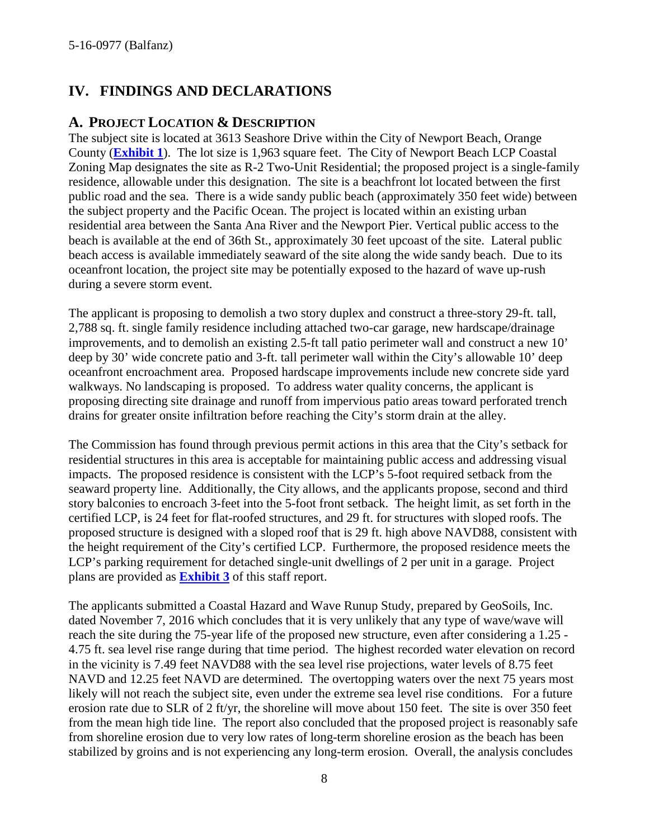# <span id="page-7-0"></span>**IV. FINDINGS AND DECLARATIONS**

#### <span id="page-7-1"></span>**A. PROJECT LOCATION & DESCRIPTION**

The subject site is located at 3613 Seashore Drive within the City of Newport Beach, Orange County (**[Exhibit 1](https://documents.coastal.ca.gov/reports/2017/5/F8f/F8f-5-2017-exhibits.pdf)**). The lot size is 1,963 square feet. The City of Newport Beach LCP Coastal Zoning Map designates the site as R-2 Two-Unit Residential; the proposed project is a single-family residence, allowable under this designation. The site is a beachfront lot located between the first public road and the sea. There is a wide sandy public beach (approximately 350 feet wide) between the subject property and the Pacific Ocean. The project is located within an existing urban residential area between the Santa Ana River and the Newport Pier. Vertical public access to the beach is available at the end of 36th St., approximately 30 feet upcoast of the site. Lateral public beach access is available immediately seaward of the site along the wide sandy beach. Due to its oceanfront location, the project site may be potentially exposed to the hazard of wave up-rush during a severe storm event.

The applicant is proposing to demolish a two story duplex and construct a three-story 29-ft. tall, 2,788 sq. ft. single family residence including attached two-car garage, new hardscape/drainage improvements, and to demolish an existing 2.5-ft tall patio perimeter wall and construct a new 10' deep by 30' wide concrete patio and 3-ft. tall perimeter wall within the City's allowable 10' deep oceanfront encroachment area. Proposed hardscape improvements include new concrete side yard walkways. No landscaping is proposed. To address water quality concerns, the applicant is proposing directing site drainage and runoff from impervious patio areas toward perforated trench drains for greater onsite infiltration before reaching the City's storm drain at the alley.

The Commission has found through previous permit actions in this area that the City's setback for residential structures in this area is acceptable for maintaining public access and addressing visual impacts. The proposed residence is consistent with the LCP's 5-foot required setback from the seaward property line. Additionally, the City allows, and the applicants propose, second and third story balconies to encroach 3-feet into the 5-foot front setback. The height limit, as set forth in the certified LCP, is 24 feet for flat-roofed structures, and 29 ft. for structures with sloped roofs. The proposed structure is designed with a sloped roof that is 29 ft. high above NAVD88, consistent with the height requirement of the City's certified LCP. Furthermore, the proposed residence meets the LCP's parking requirement for detached single-unit dwellings of 2 per unit in a garage. Project plans are provided as **[Exhibit 3](https://documents.coastal.ca.gov/reports/2017/5/F8f/F8f-5-2017-exhibits.pdf)** of this staff report.

The applicants submitted a Coastal Hazard and Wave Runup Study, prepared by GeoSoils, Inc. dated November 7, 2016 which concludes that it is very unlikely that any type of wave/wave will reach the site during the 75-year life of the proposed new structure, even after considering a 1.25 - 4.75 ft. sea level rise range during that time period. The highest recorded water elevation on record in the vicinity is 7.49 feet NAVD88 with the sea level rise projections, water levels of 8.75 feet NAVD and 12.25 feet NAVD are determined. The overtopping waters over the next 75 years most likely will not reach the subject site, even under the extreme sea level rise conditions. For a future erosion rate due to SLR of 2 ft/yr, the shoreline will move about 150 feet. The site is over 350 feet from the mean high tide line. The report also concluded that the proposed project is reasonably safe from shoreline erosion due to very low rates of long-term shoreline erosion as the beach has been stabilized by groins and is not experiencing any long-term erosion. Overall, the analysis concludes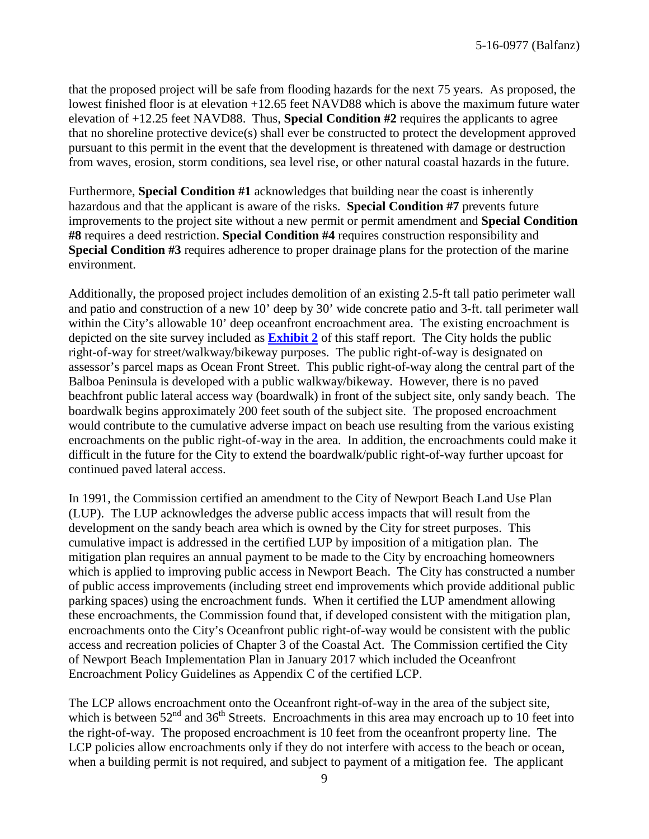that the proposed project will be safe from flooding hazards for the next 75 years. As proposed, the lowest finished floor is at elevation +12.65 feet NAVD88 which is above the maximum future water elevation of +12.25 feet NAVD88. Thus, **Special Condition #2** requires the applicants to agree that no shoreline protective device(s) shall ever be constructed to protect the development approved pursuant to this permit in the event that the development is threatened with damage or destruction from waves, erosion, storm conditions, sea level rise, or other natural coastal hazards in the future.

Furthermore, **Special Condition #1** acknowledges that building near the coast is inherently hazardous and that the applicant is aware of the risks. **Special Condition #7** prevents future improvements to the project site without a new permit or permit amendment and **Special Condition #8** requires a deed restriction. **Special Condition #4** requires construction responsibility and **Special Condition #3** requires adherence to proper drainage plans for the protection of the marine environment.

Additionally, the proposed project includes demolition of an existing 2.5-ft tall patio perimeter wall and patio and construction of a new 10' deep by 30' wide concrete patio and 3-ft. tall perimeter wall within the City's allowable 10' deep oceanfront encroachment area. The existing encroachment is depicted on the site survey included as **[Exhibit 2](https://documents.coastal.ca.gov/reports/2017/5/F8f/F8f-5-2017-exhibits.pdf)** of this staff report. The City holds the public right-of-way for street/walkway/bikeway purposes. The public right-of-way is designated on assessor's parcel maps as Ocean Front Street. This public right-of-way along the central part of the Balboa Peninsula is developed with a public walkway/bikeway. However, there is no paved beachfront public lateral access way (boardwalk) in front of the subject site, only sandy beach. The boardwalk begins approximately 200 feet south of the subject site. The proposed encroachment would contribute to the cumulative adverse impact on beach use resulting from the various existing encroachments on the public right-of-way in the area. In addition, the encroachments could make it difficult in the future for the City to extend the boardwalk/public right-of-way further upcoast for continued paved lateral access.

In 1991, the Commission certified an amendment to the City of Newport Beach Land Use Plan (LUP). The LUP acknowledges the adverse public access impacts that will result from the development on the sandy beach area which is owned by the City for street purposes. This cumulative impact is addressed in the certified LUP by imposition of a mitigation plan. The mitigation plan requires an annual payment to be made to the City by encroaching homeowners which is applied to improving public access in Newport Beach. The City has constructed a number of public access improvements (including street end improvements which provide additional public parking spaces) using the encroachment funds. When it certified the LUP amendment allowing these encroachments, the Commission found that, if developed consistent with the mitigation plan, encroachments onto the City's Oceanfront public right-of-way would be consistent with the public access and recreation policies of Chapter 3 of the Coastal Act. The Commission certified the City of Newport Beach Implementation Plan in January 2017 which included the Oceanfront Encroachment Policy Guidelines as Appendix C of the certified LCP.

The LCP allows encroachment onto the Oceanfront right-of-way in the area of the subject site, which is between  $52<sup>nd</sup>$  and  $36<sup>th</sup>$  Streets. Encroachments in this area may encroach up to 10 feet into the right-of-way. The proposed encroachment is 10 feet from the oceanfront property line. The LCP policies allow encroachments only if they do not interfere with access to the beach or ocean, when a building permit is not required, and subject to payment of a mitigation fee. The applicant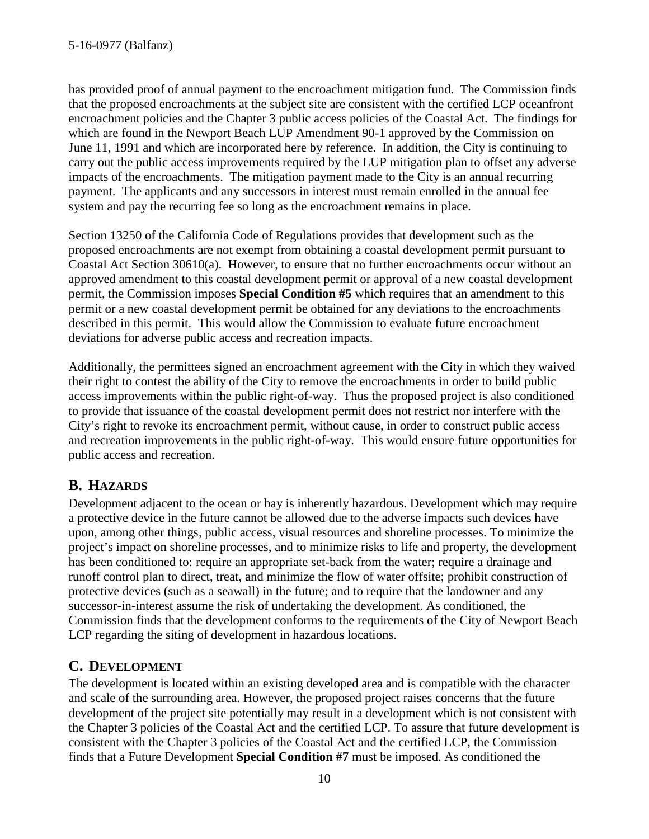has provided proof of annual payment to the encroachment mitigation fund. The Commission finds that the proposed encroachments at the subject site are consistent with the certified LCP oceanfront encroachment policies and the Chapter 3 public access policies of the Coastal Act. The findings for which are found in the Newport Beach LUP Amendment 90-1 approved by the Commission on June 11, 1991 and which are incorporated here by reference. In addition, the City is continuing to carry out the public access improvements required by the LUP mitigation plan to offset any adverse impacts of the encroachments. The mitigation payment made to the City is an annual recurring payment. The applicants and any successors in interest must remain enrolled in the annual fee system and pay the recurring fee so long as the encroachment remains in place.

Section 13250 of the California Code of Regulations provides that development such as the proposed encroachments are not exempt from obtaining a coastal development permit pursuant to Coastal Act Section 30610(a). However, to ensure that no further encroachments occur without an approved amendment to this coastal development permit or approval of a new coastal development permit, the Commission imposes **Special Condition #5** which requires that an amendment to this permit or a new coastal development permit be obtained for any deviations to the encroachments described in this permit. This would allow the Commission to evaluate future encroachment deviations for adverse public access and recreation impacts.

Additionally, the permittees signed an encroachment agreement with the City in which they waived their right to contest the ability of the City to remove the encroachments in order to build public access improvements within the public right-of-way. Thus the proposed project is also conditioned to provide that issuance of the coastal development permit does not restrict nor interfere with the City's right to revoke its encroachment permit, without cause, in order to construct public access and recreation improvements in the public right-of-way. This would ensure future opportunities for public access and recreation.

# <span id="page-9-0"></span>**B. HAZARDS**

Development adjacent to the ocean or bay is inherently hazardous. Development which may require a protective device in the future cannot be allowed due to the adverse impacts such devices have upon, among other things, public access, visual resources and shoreline processes. To minimize the project's impact on shoreline processes, and to minimize risks to life and property, the development has been conditioned to: require an appropriate set-back from the water; require a drainage and runoff control plan to direct, treat, and minimize the flow of water offsite; prohibit construction of protective devices (such as a seawall) in the future; and to require that the landowner and any successor-in-interest assume the risk of undertaking the development. As conditioned, the Commission finds that the development conforms to the requirements of the City of Newport Beach LCP regarding the siting of development in hazardous locations.

### <span id="page-9-1"></span>**C. DEVELOPMENT**

The development is located within an existing developed area and is compatible with the character and scale of the surrounding area. However, the proposed project raises concerns that the future development of the project site potentially may result in a development which is not consistent with the Chapter 3 policies of the Coastal Act and the certified LCP. To assure that future development is consistent with the Chapter 3 policies of the Coastal Act and the certified LCP, the Commission finds that a Future Development **Special Condition #7** must be imposed. As conditioned the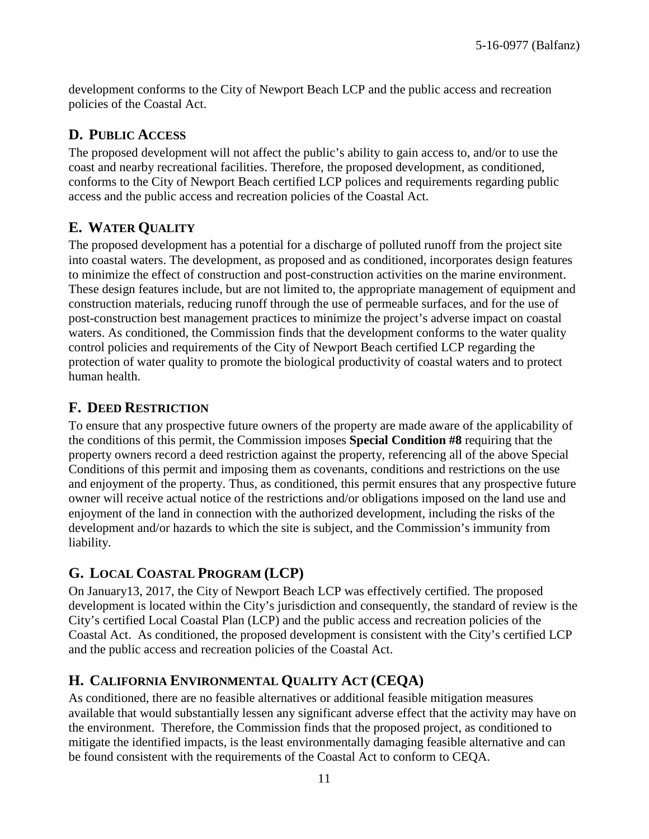development conforms to the City of Newport Beach LCP and the public access and recreation policies of the Coastal Act.

# <span id="page-10-0"></span>**D. PUBLIC ACCESS**

The proposed development will not affect the public's ability to gain access to, and/or to use the coast and nearby recreational facilities. Therefore, the proposed development, as conditioned, conforms to the City of Newport Beach certified LCP polices and requirements regarding public access and the public access and recreation policies of the Coastal Act.

# <span id="page-10-1"></span>**E. WATER QUALITY**

The proposed development has a potential for a discharge of polluted runoff from the project site into coastal waters. The development, as proposed and as conditioned, incorporates design features to minimize the effect of construction and post-construction activities on the marine environment. These design features include, but are not limited to, the appropriate management of equipment and construction materials, reducing runoff through the use of permeable surfaces, and for the use of post-construction best management practices to minimize the project's adverse impact on coastal waters. As conditioned, the Commission finds that the development conforms to the water quality control policies and requirements of the City of Newport Beach certified LCP regarding the protection of water quality to promote the biological productivity of coastal waters and to protect human health.

# <span id="page-10-2"></span>**F. DEED RESTRICTION**

To ensure that any prospective future owners of the property are made aware of the applicability of the conditions of this permit, the Commission imposes **Special Condition #8** requiring that the property owners record a deed restriction against the property, referencing all of the above Special Conditions of this permit and imposing them as covenants, conditions and restrictions on the use and enjoyment of the property. Thus, as conditioned, this permit ensures that any prospective future owner will receive actual notice of the restrictions and/or obligations imposed on the land use and enjoyment of the land in connection with the authorized development, including the risks of the development and/or hazards to which the site is subject, and the Commission's immunity from liability.

# <span id="page-10-3"></span>**G. LOCAL COASTAL PROGRAM (LCP)**

On January13, 2017, the City of Newport Beach LCP was effectively certified. The proposed development is located within the City's jurisdiction and consequently, the standard of review is the City's certified Local Coastal Plan (LCP) and the public access and recreation policies of the Coastal Act. As conditioned, the proposed development is consistent with the City's certified LCP and the public access and recreation policies of the Coastal Act.

# <span id="page-10-4"></span>**H. CALIFORNIA ENVIRONMENTAL QUALITY ACT (CEQA)**

As conditioned, there are no feasible alternatives or additional feasible mitigation measures available that would substantially lessen any significant adverse effect that the activity may have on the environment. Therefore, the Commission finds that the proposed project, as conditioned to mitigate the identified impacts, is the least environmentally damaging feasible alternative and can be found consistent with the requirements of the Coastal Act to conform to CEQA.